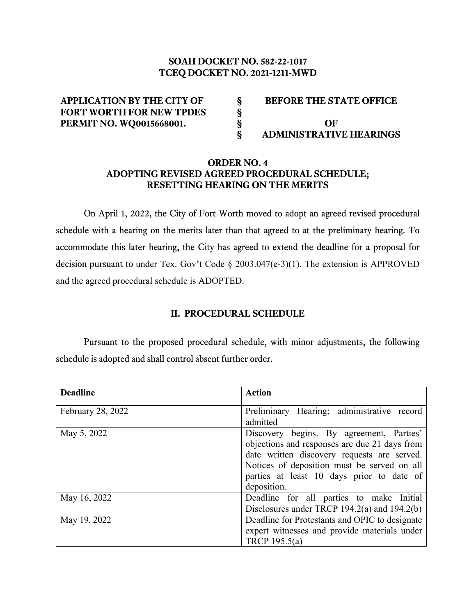# **SOAH DOCKET NO. 582-22-1017 TCEQ DOCKET NO. 2021-1211-MWD**

| <b>APPLICATION BY THE CITY OF</b> | <b>BEFORE THE STATE OFFICE</b> |
|-----------------------------------|--------------------------------|
| <b>FORT WORTH FOR NEW TPDES</b>   |                                |
| <b>PERMIT NO. WQ0015668001.</b>   | OF                             |
|                                   | <b>ADMINISTRATIVE HEARINGS</b> |

## **ORDER NO. 4 ADOPTING REVISED AGREED PROCEDURAL SCHEDULE; RESETTING HEARING ON THE MERITS**

On April 1, 2022, the City of Fort Worth moved to adopt an agreed revised procedural schedule with a hearing on the merits later than that agreed to at the preliminary hearing. To accommodate this later hearing, the City has agreed to extend the deadline for a proposal for decision pursuant to under Tex. Gov't Code § 2003.047(e-3)(1). The extension is APPROVED and the agreed procedural schedule is ADOPTED.

### **II. PROCEDURAL SCHEDULE**

Pursuant to the proposed procedural schedule, with minor adjustments, the following schedule is adopted and shall control absent further order.

| <b>Deadline</b>   | <b>Action</b>                                                                                                                                                                                                                                       |
|-------------------|-----------------------------------------------------------------------------------------------------------------------------------------------------------------------------------------------------------------------------------------------------|
| February 28, 2022 | Preliminary Hearing; administrative record<br>admitted                                                                                                                                                                                              |
| May 5, 2022       | Discovery begins. By agreement, Parties'<br>objections and responses are due 21 days from<br>date written discovery requests are served.<br>Notices of deposition must be served on all<br>parties at least 10 days prior to date of<br>deposition. |
| May 16, 2022      | Deadline for all parties to make Initial<br>Disclosures under TRCP 194.2(a) and 194.2(b)                                                                                                                                                            |
| May 19, 2022      | Deadline for Protestants and OPIC to designate<br>expert witnesses and provide materials under<br>TRCP 195.5(a)                                                                                                                                     |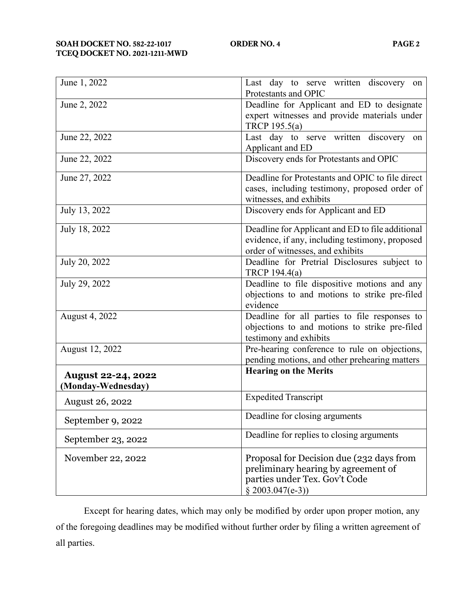| June 1, 2022              | Last day to serve written discovery<br>on<br>Protestants and OPIC |
|---------------------------|-------------------------------------------------------------------|
| June 2, 2022              | Deadline for Applicant and ED to designate                        |
|                           | expert witnesses and provide materials under                      |
|                           | TRCP 195.5(a)                                                     |
| June 22, 2022             | Last day to serve written discovery<br>on                         |
|                           | Applicant and ED                                                  |
| June 22, 2022             | Discovery ends for Protestants and OPIC                           |
| June 27, 2022             | Deadline for Protestants and OPIC to file direct                  |
|                           | cases, including testimony, proposed order of                     |
|                           | witnesses, and exhibits                                           |
| July 13, 2022             | Discovery ends for Applicant and ED                               |
| July 18, 2022             | Deadline for Applicant and ED to file additional                  |
|                           | evidence, if any, including testimony, proposed                   |
|                           | order of witnesses, and exhibits                                  |
| July 20, 2022             | Deadline for Pretrial Disclosures subject to                      |
|                           | TRCP 194.4(a)                                                     |
| July 29, 2022             | Deadline to file dispositive motions and any                      |
|                           | objections to and motions to strike pre-filed<br>evidence         |
| August 4, 2022            | Deadline for all parties to file responses to                     |
|                           | objections to and motions to strike pre-filed                     |
|                           | testimony and exhibits                                            |
| August 12, 2022           | Pre-hearing conference to rule on objections,                     |
|                           | pending motions, and other prehearing matters                     |
| <b>August 22-24, 2022</b> | <b>Hearing on the Merits</b>                                      |
| (Monday-Wednesday)        |                                                                   |
| <b>August 26, 2022</b>    | <b>Expedited Transcript</b>                                       |
| September 9, 2022         | Deadline for closing arguments                                    |
| September 23, 2022        | Deadline for replies to closing arguments                         |
| November 22, 2022         | Proposal for Decision due (232 days from                          |
|                           | preliminary hearing by agreement of                               |
|                           | parties under Tex. Gov't Code                                     |
|                           | $§$ 2003.047(e-3))                                                |

Except for hearing dates, which may only be modified by order upon proper motion, any of the foregoing deadlines may be modified without further order by filing a written agreement of all parties.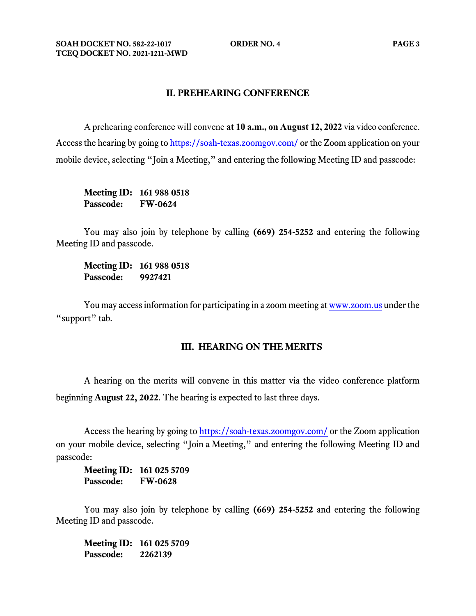#### **II. PREHEARING CONFERENCE**

A prehearing conference will convene **at 10 a.m., on August 12, 2022** via video conference. Access the hearing by going t[o https://soah-texas.zoomgov.com/](https://soahtexas.zoomgov.com/) or the Zoom application on your mobile device, selecting "Join a Meeting," and entering the following Meeting ID and passcode:

**Meeting ID: 161 988 0518 Passcode: FW-0624**

You may also join by telephone by calling **(669) 254-5252** and entering the following Meeting ID and passcode.

**Meeting ID: 161 988 0518 Passcode: 9927421**

You may access information for participating in a zoom meeting a[t www.zoom.us](http://www.zoom.us/) under the "support" tab.

### **III. HEARING ON THE MERITS**

A hearing on the merits will convene in this matter via the video conference platform beginning **August 22, 2022**. The hearing is expected to last three days.

Access the hearing by going to [https://soah-texas.zoomgov.com/](https://soahtexas.zoomgov.com/) or the Zoom application on your mobile device, selecting "Join a Meeting," and entering the following Meeting ID and passcode:

**Meeting ID: 161 025 5709 Passcode: FW-0628**

You may also join by telephone by calling **(669) 254-5252** and entering the following Meeting ID and passcode.

**Meeting ID: 161 025 5709 Passcode: 2262139**